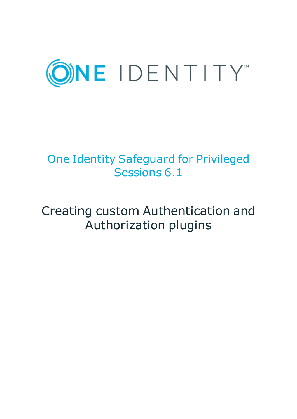

# One Identity Safeguard for Privileged Sessions 6.1

# Creating custom Authentication and Authorization plugins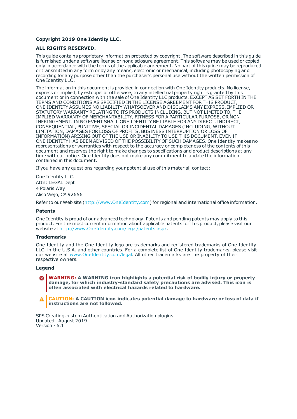#### **Copyright 2019 One Identity LLC.**

#### **ALL RIGHTS RESERVED.**

This guide contains proprietary information protected by copyright. The software described in this guide is furnished under a software license or nondisclosure agreement. This software may be used or copied only in accordance with the terms of the applicable agreement. No part of this guide may be reproduced or transmitted in any form or by any means, electronic or mechanical, including photocopying and recording for any purpose other than the purchaser's personal use without the written permission of One Identity LLC .

The information in this document is provided in connection with One Identity products. No license, express or implied, by estoppel or otherwise, to any intellectual property right is granted by this document or in connection with the sale of One Identity LLC products. EXCEPT AS SET FORTH IN THE TERMS AND CONDITIONS AS SPECIFIED IN THE LICENSE AGREEMENT FOR THIS PRODUCT, ONE IDENTITY ASSUMES NO LIABILITY WHATSOEVER AND DISCLAIMS ANY EXPRESS, IMPLIED OR STATUTORY WARRANTY RELATING TO ITS PRODUCTS INCLUDING, BUT NOT LIMITED TO, THE IMPLIED WARRANTY OF MERCHANTABILITY, FITNESS FOR A PARTICULAR PURPOSE, OR NON-INFRINGEMENT. IN NO EVENT SHALL ONE IDENTITY BE LIABLE FOR ANY DIRECT, INDIRECT, CONSEQUENTIAL, PUNITIVE, SPECIAL OR INCIDENTAL DAMAGES (INCLUDING, WITHOUT LIMITATION, DAMAGES FOR LOSS OF PROFITS, BUSINESS INTERRUPTION OR LOSS OF INFORMATION) ARISING OUT OF THE USE OR INABILITY TO USE THIS DOCUMENT, EVEN IF ONE IDENTITY HAS BEEN ADVISED OF THE POSSIBILITY OF SUCH DAMAGES. One Identity makes no representations or warranties with respect to the accuracy or completeness of the contents of this document and reserves the right to make changes to specifications and product descriptions at any time without notice. One Identity does not make any commitment to update the information contained in this document.

If you have any questions regarding your potential use of this material, contact:

One Identity LLC. Attn: LEGAL Dept 4 Polaris Way Aliso Viejo, CA 92656

Refer to our Web site ([http://www.OneIdentity.com](http://www.oneidentity.com/)) for regional and international office information.

#### **Patents**

One Identity is proud of our advanced technology. Patents and pending patents may apply to this product. For the most current information about applicable patents for this product, please visit our website at [http://www.OneIdentity.com/legal/patents.aspx](http://www.oneidentity.com/legal/patents.aspx).

#### **Trademarks**

One Identity and the One Identity logo are trademarks and registered trademarks of One Identity LLC. in the U.S.A. and other countries. For a complete list of One Identity trademarks, please visit our website at [www.OneIdentity.com/legal](http://www.oneidentity.com/legal). All other trademarks are the property of their respective owners.

#### **Legend**

**WARNING: A WARNING icon highlights a potential risk of bodily injury or property damage, for which industry-standard safety precautions are advised. This icon is often associated with electrical hazards related to hardware.**

**CAUTION: A CAUTION icon indicates potential damage to hardware or loss of data if** A **instructions are not followed.**

SPS Creating custom Authentication and Authorization plugins Updated - August 2019 Version - 6.1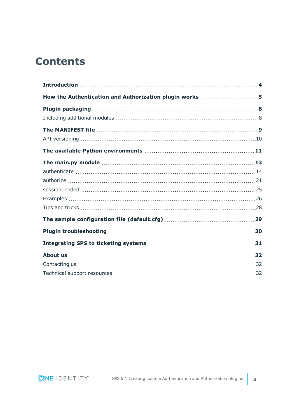### **Contents**

| How the Authentication and Authorization plugin works  5 |  |
|----------------------------------------------------------|--|
|                                                          |  |
|                                                          |  |
|                                                          |  |
|                                                          |  |
|                                                          |  |
|                                                          |  |
|                                                          |  |
|                                                          |  |
|                                                          |  |
|                                                          |  |
|                                                          |  |
|                                                          |  |
|                                                          |  |
|                                                          |  |
|                                                          |  |
|                                                          |  |
|                                                          |  |

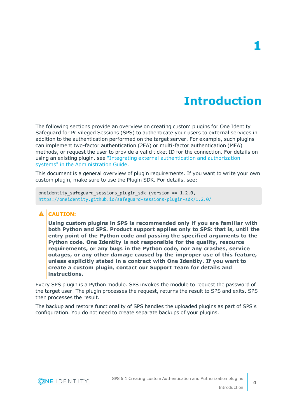### **Introduction**

<span id="page-3-0"></span>The following sections provide an overview on creating custom plugins for One Identity Safeguard for Privileged Sessions (SPS) to authenticate your users to external services in addition to the authentication performed on the target server. For example, such plugins can implement two-factor authentication (2FA) or multi-factor authentication (MFA) methods, or request the user to provide a valid ticket ID for the connection. For details on using an existing plugin, see "Integrating external [authentication](https://support.oneidentity.com/technical-documents/safeguard-for-privileged-sessions/6.1.0/administration-guide/advanced-authentication-and-authorization-techniques/integrating-external-authentication-and-authorization-systems/) and authorization systems" in the [Administration](https://support.oneidentity.com/technical-documents/safeguard-for-privileged-sessions/6.1.0/administration-guide/advanced-authentication-and-authorization-techniques/integrating-external-authentication-and-authorization-systems/) Guide.

This document is a general overview of plugin requirements. If you want to write your own custom plugin, make sure to use the Plugin SDK. For details, see:

oneidentity safeguard sessions plugin sdk (version ==  $1.2.0$ , <https://oneidentity.github.io/safeguard-sessions-plugin-sdk/1.2.0/>

#### **A** CAUTION:

**Using custom plugins in SPS is recommended only if you are familiar with both Python and SPS. Product support applies only to SPS: that is, until the entry point of the Python code and passing the specified arguments to the Python code. One Identity is not responsible for the quality, resource requirements, or any bugs in the Python code, nor any crashes, service outages, or any other damage caused by the improper use of this feature, unless explicitly stated in a contract with One Identity. If you want to create a custom plugin, contact our Support Team for details and instructions.**

Every SPS plugin is a Python module. SPS invokes the module to request the password of the target user. The plugin processes the request, returns the result to SPS and exits. SPS then processes the result.

The backup and restore functionality of SPS handles the uploaded plugins as part of SPS's configuration. You do not need to create separate backups of your plugins.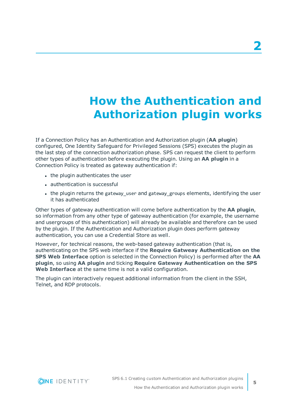# **How the Authentication and Authorization plugin works**

<span id="page-4-0"></span>If a Connection Policy has an Authentication and Authorization plugin (**AA plugin**) configured, One Identity Safeguard for Privileged Sessions (SPS) executes the plugin as the last step of the connection authorization phase. SPS can request the client to perform other types of authentication before executing the plugin. Using an **AA plugin** in a Connection Policy is treated as gateway authentication if:

- the plugin authenticates the user
- $\bullet$  authentication is successful
- the plugin returns the gateway user and gateway groups elements, identifying the user it has authenticated

Other types of gateway authentication will come before authentication by the **AA plugin**, so information from any other type of gateway authentication (for example, the username and usergroups of this authentication) will already be available and therefore can be used by the plugin. If the Authentication and Authorization plugin does perform gateway authentication, you can use a Credential Store as well.

However, for technical reasons, the web-based gateway authentication (that is, authenticating on the SPS web interface if the **Require Gatweay Authentication on the SPS Web Interface** option is selected in the Connection Policy) is performed after the **AA plugin**, so using **AA plugin** and ticking **Require Gateway Authentication on the SPS Web Interface** at the same time is not a valid configuration.

The plugin can interactively request additional information from the client in the SSH, Telnet, and RDP protocols.

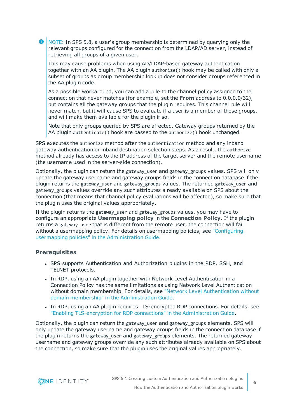6 NOTE: In SPS 5.8, a user's group membership is determined by querying only the relevant groups configured for the connection from the LDAP/AD server, instead of retrieving all groups of a given user.

This may cause problems when using AD/LDAP-based gateway authentication together with an AA plugin. The AA plugin authorize() hook may be called with only a subset of groups as group membership lookup does not consider groups referenced in the AA plugin code.

As a possible workaround, you can add a rule to the channel policy assigned to the connection that never matches (for example, set the **From** address to 0.0.0.0/32), but contains all the gateway groups that the plugin requires. This channel rule will never match, but it will cause SPS to evaluate if a user is a member of those groups, and will make them available for the plugin if so.

Note that only groups queried by SPS are affected. Gateway groups returned by the AA plugin authenticate() hook are passed to the authorize() hook unchanged.

SPS executes the authorize method after the authentication method and any inband gateway authentication or inband destination selection steps. As a result, the authorize method already has access to the IP address of the target server and the remote username (the username used in the server-side connection).

Optionally, the plugin can return the gateway user and gateway groups values. SPS will only update the gateway username and gateway groups fields in the connection database if the plugin returns the gateway user and gateway groups values. The returned gateway user and gateway groups values override any such attributes already available on SPS about the connection (that means that channel policy evaluations will be affected), so make sure that the plugin uses the original values appropriately.

If the plugin returns the gateway user and gateway groups values, you may have to configure an appropriate **Usermapping policy** in the **Connection Policy**. If the plugin returns a gateway user that is different from the remote user, the connection will fail without a usermapping policy. For details on usermapping policies, see ["Configuring](https://support.oneidentity.com/technical-documents/safeguard-for-privileged-sessions/6.1.0/administration-guide/advanced-authentication-and-authorization-techniques/configuring-usermapping-policies/) usermapping policies" in the [Administration](https://support.oneidentity.com/technical-documents/safeguard-for-privileged-sessions/6.1.0/administration-guide/advanced-authentication-and-authorization-techniques/configuring-usermapping-policies/) Guide.

#### **Prerequisites**

- SPS supports Authentication and Authorization plugins in the RDP, SSH, and TELNET protocols.
- In RDP, using an AA plugin together with Network Level Authentication in a Connection Policy has the same limitations as using Network Level Authentication without domain membership. For details, see "Network Level [Authentication](https://support.oneidentity.com/technical-documents/safeguard-for-privileged-sessions/6.1.0/administration-guide/rdp-specific-settings/network-level-authentication-nla-with-one-identity-safeguard-for-privileged-sessions-sps/network-level-authentication-without-domain-membership/) without domain membership" in the [Administration](https://support.oneidentity.com/technical-documents/safeguard-for-privileged-sessions/6.1.0/administration-guide/rdp-specific-settings/network-level-authentication-nla-with-one-identity-safeguard-for-privileged-sessions-sps/network-level-authentication-without-domain-membership/) Guide.
- In RDP, using an AA plugin requires TLS-encrypted RDP connections. For details, see "Enabling [TLS-encryption](https://support.oneidentity.com/technical-documents/safeguard-for-privileged-sessions/6.1.0/administration-guide/rdp-specific-settings/enabling-tls-encryption-for-rdp-connections/) for RDP connections" in the Administration Guide.

Optionally, the plugin can return the gateway user and gateway groups elements. SPS will only update the gateway username and gateway groups fields in the connection database if the plugin returns the gateway\_user and gateway\_groups elements. The returned gateway username and gateway groups override any such attributes already available on SPS about the connection, so make sure that the plugin uses the original values appropriately.

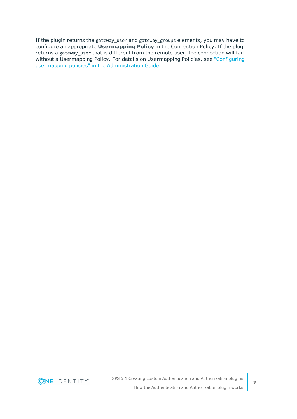If the plugin returns the gateway\_user and gateway\_groups elements, you may have to configure an appropriate **Usermapping Policy** in the Connection Policy. If the plugin returns a gateway\_user that is different from the remote user, the connection will fail without a Usermapping Policy. For details on Usermapping Policies, see ["Configuring](https://support.oneidentity.com/technical-documents/safeguard-for-privileged-sessions/6.1.0/administration-guide/advanced-authentication-and-authorization-techniques/configuring-usermapping-policies/) usermapping policies" in the [Administration](https://support.oneidentity.com/technical-documents/safeguard-for-privileged-sessions/6.1.0/administration-guide/advanced-authentication-and-authorization-techniques/configuring-usermapping-policies/) Guide.

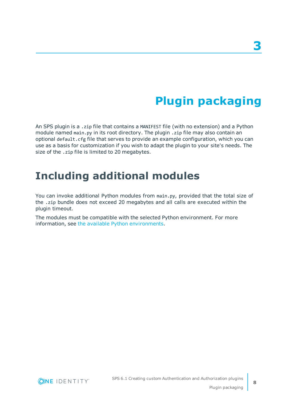# **Plugin packaging**

<span id="page-7-0"></span>An SPS plugin is a .zip file that contains a MANIFEST file (with no extension) and a Python module named main.py in its root directory. The plugin .zip file may also contain an optional default.cfg file that serves to provide an example configuration, which you can use as a basis for customization if you wish to adapt the plugin to your site's needs. The size of the .zip file is limited to 20 megabytes.

### <span id="page-7-1"></span>**Including additional modules**

You can invoke additional Python modules from main.py, provided that the total size of the .zip bundle does not exceed 20 megabytes and all calls are executed within the plugin timeout.

The modules must be compatible with the selected Python environment. For more information, see the available Python environments.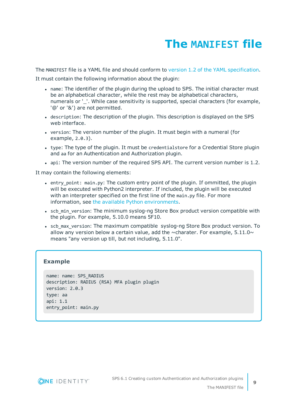# **The MANIFEST file**

<span id="page-8-0"></span>The MANIFEST file is a YAML file and should conform to version 1.2 of the YAML [specification](http://yaml.org/spec/).

It must contain the following information about the plugin:

- name: The identifier of the plugin during the upload to SPS. The initial character must be an alphabetical character, while the rest may be alphabetical characters, numerals or ''. While case sensitivity is supported, special characters (for example, '@' or '&') are not permitted.
- description: The description of the plugin. This description is displayed on the SPS web interface.
- version: The version number of the plugin. It must begin with a numeral (for example, 2.0.3).
- type: The type of the plugin. It must be credentialstore for a Credential Store plugin and aa for an Authentication and Authorization plugin.
- api: The version number of the required SPS API. The current version number is 1.2.

It may contain the following elements:

- entry point: main.py: The custom entry point of the plugin. If ommitted, the plugin will be executed with Python2 interpreter. If included, the plugin will be executed with an interpreter specified on the first line of the main.py file. For more information, see the available Python [environments.](#page-10-0)
- scb min version: The minimum syslog-ng Store Box product version compatible with the plugin. For example, 5.10.0 means 5F10.
- scb max version: The maximum compatible syslog-ng Store Box product version. To allow any version below a certain value, add the  $\sim$ charater. For example, 5.11.0 $\sim$ means "any version up till, but not including, 5.11.0".

#### **Example**

```
name: name: SPS_RADIUS
description: RADIUS (RSA) MFA plugin plugin
version: 2.0.3
type: aa
api: 1.1
entry_point: main.py
```
**ONE IDENTITY** 

**9**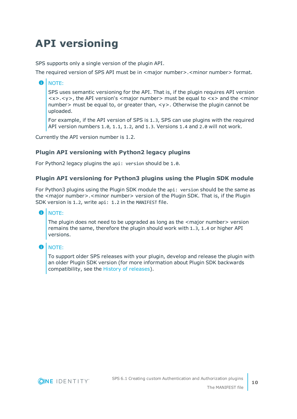## <span id="page-9-0"></span>**API versioning**

SPS supports only a single version of the plugin API.

The required version of SPS API must be in <major number>.<minor number> format.

#### Œ NOTE:

SPS uses semantic versioning for the API. That is, if the plugin requires API version  $\langle x \rangle$ , the API version's  $\langle x \rangle$  number  $\langle x \rangle$  must be equal to  $\langle x \rangle$  and the  $\langle x \rangle$  minor number> must be equal to, or greater than, <y>. Otherwise the plugin cannot be uploaded.

For example, if the API version of SPS is 1.3, SPS can use plugins with the required API version numbers 1.0, 1.1, 1.2, and 1.3. Versions 1.4 and 2.0 will not work.

Currently the API version number is 1.2.

#### **Plugin API versioning with Python2 legacy plugins**

For Python2 legacy plugins the api: version should be 1.0.

#### **Plugin API versioning for Python3 plugins using the Plugin SDK module**

For Python3 plugins using the Plugin SDK module the api: version should be the same as the <major number>.<minor number> version of the Plugin SDK. That is, if the Plugin SDK version is 1.2, write api: 1.2 in the MANIFEST file.

#### O NOTE:

The plugin does not need to be upgraded as long as the  $\leq$  major number $\geq$  version remains the same, therefore the plugin should work with 1.3, 1.4 or higher API versions.

#### **O** NOTE:

To support older SPS releases with your plugin, develop and release the plugin with an older Plugin SDK version (for more information about Plugin SDK backwards compatibility, see the History of [releases\)](https://oneidentity.github.io/safeguard-sessions-plugin-sdk/latest/history.html).

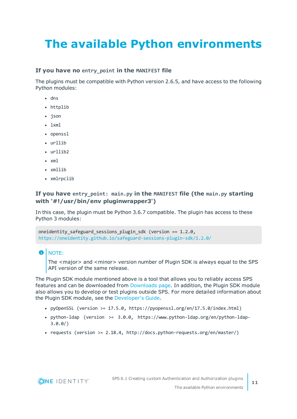# <span id="page-10-0"></span>**The available Python environments**

#### **If you have no entry\_point in the MANIFEST file**

The plugins must be compatible with Python version 2.6.5, and have access to the following Python modules:

- $\cdot$  dns
- httplib
- ison
- $\cdot$  lxml
- openssl
- $\cdot$  urllib
- $\cdot$  urllib?
- $\cdot$  xml
- $\cdot$  xmllib
- xmlrpclib

#### **If you have entry\_point: main.py in the MANIFEST file (the main.py starting with '#!/usr/bin/env pluginwrapper3')**

In this case, the plugin must be Python 3.6.7 compatible. The plugin has access to these Python 3 modules:

```
oneidentity_safeguard_sessions_plugin_sdk (version == 1.2.0,
https://oneidentity.github.io/safeguard-sessions-plugin-sdk/1.2.0/
```
#### 6 NOTE:

The <major> and <minor> version number of Plugin SDK is always equal to the SPS API version of the same release.

The Plugin SDK module mentioned above is a tool that allows you to reliably access SPS features and can be downloaded from [Downloads](https://support.oneidentity.com/my-downloads) page. In addition, the Plugin SDK module also allows you to develop or test plugins outside SPS. For more detailed information about the Plugin SDK module, see the [Developer's](https://oneidentity.github.io/safeguard-sessions-plugin-sdk/1.2.0/index.html) Guide.

- pyOpenSSL (version >=  $17.5.0$ , https://pyopenssl.org/en/17.5.0/index.html)
- python-ldap (version >= 3.0.0, https://www.python-ldap.org/en/python-ldap-3.0.0/)
- requests (version >= 2.18.4, http://docs.python-requests.org/en/master/)

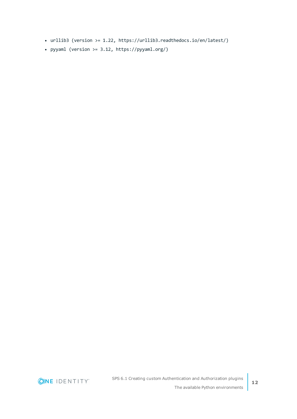- urllib3 (version >= 1.22, https://urllib3.readthedocs.io/en/latest/)
- pyyaml (version  $>= 3.12$ , https://pyyaml.org/)

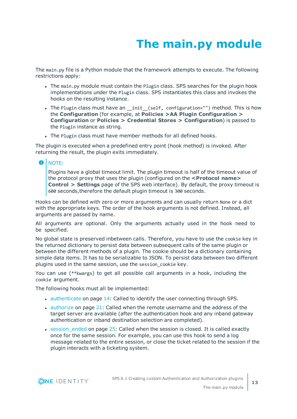# **The main.py module**

<span id="page-12-0"></span>The main.py file is a Python module that the framework attempts to execute. The following restrictions apply:

- The main.py module must contain the Plugin class. SPS searches for the plugin hook implementations under the Plugin class. SPS instantiates this class and invokes the hooks on the resulting instance.
- The Plugin class must have an \_init\_(self, configuration="") method. This is how the **Configuration** (for example, at **Policies >AA Plugin Configuration > Configuration** or **Policies > Credential Stores > Configuration**) is passed to the Plugin instance as string.
- The Plugin class must have member methods for all defined hooks.

The plugin is executed when a predefined entry point (hook method) is invoked. After returning the result, the plugin exits immediately.

#### **O** NOTE:

Plugins have a global timeout limit. The plugin timeout is half of the timeout value of the protocol proxy that uses the plugin (configured on the **<Protocol name> Control > Settings** page of the SPS web interface). By default, the proxy timeout is 600 seconds,therefore the default plugin timeout is 300 seconds.

Hooks can be defined with zero or more arguments and can usually return None or a dict with the appropriate keys. The order of the hook arguments is not defined. Instead, all arguments are passed by name.

All arguments are optional. Only the arguments actually used in the hook need to be specified.

No global state is preserved inbetween calls. Therefore, you have to use the cookie key in the returned dictionary to persist data between subsequent calls of the same plugin or between the different methods of a plugin. The cookie should be a dictionary containing simple data items. It has to be serializable to JSON. To persist data between two different plugins used in the same session, use the session cookie key.

You can use (\*\*kwargs) to get all possible call arguments in a hook, including the cookie argument.

The following hooks must all be implemented:

- $\bullet$  [authenticate](#page-13-0) on page 14: Called to identify the user connecting through SPS.
- [authorize](#page-20-0) on page 21: Called when the remote username and the address of the target server are available (after the authentication hook and any inband gateway authentication or inband destination selection are completed).
- $\cdot$  [session\\_ended](#page-24-0) on page 25: Called when the session is closed. It is called exactly once for the same session. For example, you can use this hook to send a log message related to the entire session, or close the ticket related to the session if the plugin interacts with a ticketing system.



**13**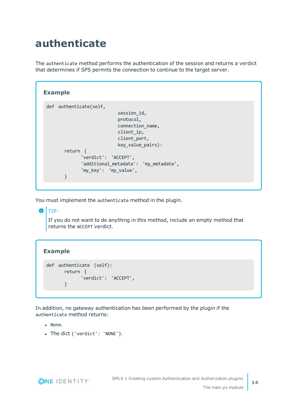### <span id="page-13-0"></span>**authenticate**

The authenticate method performs the authentication of the session and returns a verdict that determines if SPS permits the connection to continue to the target server.

```
Example
 def authenticate(self,
                            session_id,
                            protocol,
                            connection_name,
                            client_ip,
                            client port,
                            key value pairs):
       return {
              'verdict': 'ACCEPT',
              'additional_metadata': 'my_metadata',
              'my_key': 'my_value',
       }
```
You must implement the authenticate method in the plugin.

 $\bullet$ TIP:

> If you do not want to do anything in this method, include an empty method that returns the ACCEPT verdict.

### **Example**

```
def authenticate (self):
      return {
             'verdict': 'ACCEPT',
      }
```
In addition, no gateway authentication has been performed by the plugin if the authenticate method returns:

- None.
- The dict { 'verdict': 'NONE' }.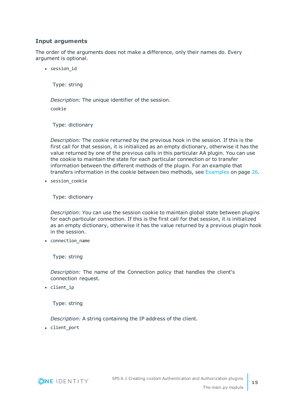#### **Input arguments**

The order of the arguments does not make a difference, only their names do. Every argument is optional.

• session id

Type: string

*Description:* The unique identifier of the session.

cookie

Type: dictionary

*Description:* The cookie returned by the previous hook in the session. If this is the first call for that session, it is initialized as an empty dictionary, otherwise it has the value returned by one of the previous calls in this particular AA plugin. You can use the cookie to maintain the state for each particular connection or to transfer information between the different methods of the plugin. For an example that transfers information in the cookie between two methods, see [Examples](#page-25-0) on page 26.

• session cookie

Type: dictionary

*Description:* You can use the session cookie to maintain global state between plugins for each particular connection. If this is the first call for that session, it is initialized as an empty dictionary, otherwise it has the value returned by a previous plugin hook in the session.

• connection\_name

Type: string

*Description:* The name of the Connection policy that handles the client's connection request.

• client ip

Type: string

*Description:* A string containing the IP address of the client.

• client\_port

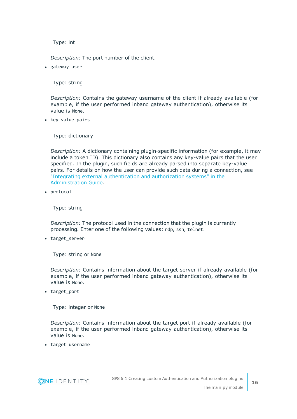Type: int

*Description:* The port number of the client.

• gateway user

Type: string

*Description:* Contains the gateway username of the client if already available (for example, if the user performed inband gateway authentication), otherwise its value is None.

• key value pairs

Type: dictionary

*Description:* A dictionary containing plugin-specific information (for example, it may include a token ID). This dictionary also contains any key-value pairs that the user specified. In the plugin, such fields are already parsed into separate key-value pairs. For details on how the user can provide such data during a connection, see "Integrating external [authentication](https://support.oneidentity.com/technical-documents/safeguard-for-privileged-sessions/6.1.0/administration-guide/advanced-authentication-and-authorization-techniques/integrating-external-authentication-and-authorization-systems/) and authorization systems" in the [Administration](https://support.oneidentity.com/technical-documents/safeguard-for-privileged-sessions/6.1.0/administration-guide/advanced-authentication-and-authorization-techniques/integrating-external-authentication-and-authorization-systems/) Guide.

• protocol

Type: string

*Description:* The protocol used in the connection that the plugin is currently processing. Enter one of the following values: rdp, ssh, telnet.

• target\_server

Type: string or None

*Description:* Contains information about the target server if already available (for example, if the user performed inband gateway authentication), otherwise its value is None.

• target port

Type: integer or None

*Description:* Contains information about the target port if already available (for example, if the user performed inband gateway authentication), otherwise its value is None.

• target\_username

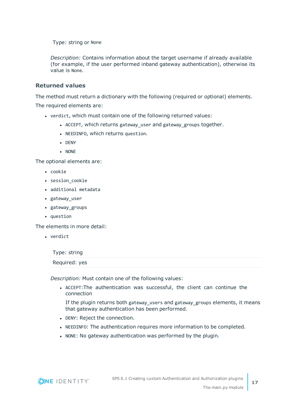Type: string or None

*Description:* Contains information about the target username if already available (for example, if the user performed inband gateway authentication), otherwise its value is None.

#### **Returned values**

The method must return a dictionary with the following (required or optional) elements. The required elements are:

- verdict, which must contain one of the following returned values:
	- ACCEPT, which returns gateway user and gateway groups together.
	- NEEDINFO, which returns question.
	- $\bullet$  DENY
	- $\bullet$  NONE

The optional elements are:

- cookie
- session cookie
- additional metadata
- gateway user
- gateway\_groups
- question

The elements in more detail:

• verdict

Type: string

#### Required: yes

*Description:* Must contain one of the following values:

• ACCEPT: The authentication was successful, the client can continue the connection

If the plugin returns both gateway users and gateway groups elements, it means that gateway authentication has been performed.

- DENY: Reject the connection.
- NEEDINFO: The authentication requires more information to be completed.
- NONE: No gateway authentication was performed by the plugin.

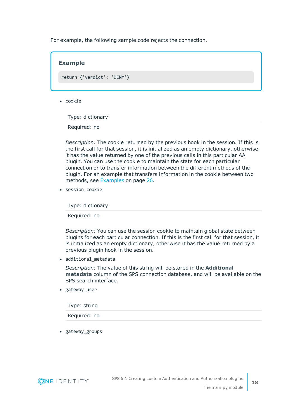For example, the following sample code rejects the connection.

# **Example** return {'verdict': 'DENY'}

 $\cdot$  cookie

Type: dictionary

Required: no

*Description:* The cookie returned by the previous hook in the session. If this is the first call for that session, it is initialized as an empty dictionary, otherwise it has the value returned by one of the previous calls in this particular AA plugin. You can use the cookie to maintain the state for each particular connection or to transfer information between the different methods of the plugin. For an example that transfers information in the cookie between two methods, see [Examples](#page-25-0) on page 26.

• session cookie

Type: dictionary

Required: no

*Description:* You can use the session cookie to maintain global state between plugins for each particular connection. If this is the first call for that session, it is initialized as an empty dictionary, otherwise it has the value returned by a previous plugin hook in the session.

• additional metadata

*Description:* The value of this string will be stored in the **Additional metadata** column of the SPS connection database, and will be available on the SPS search interface.

• gateway\_user

| Type: string |  |  |  |
|--------------|--|--|--|
|              |  |  |  |

Required: no

• gateway\_groups

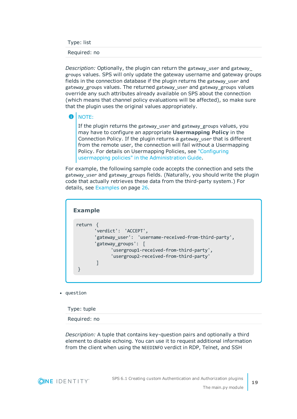Type: list

#### Required: no

*Description:* Optionally, the plugin can return the gateway user and gateway groups values. SPS will only update the gateway username and gateway groups fields in the connection database if the plugin returns the gateway\_user and gateway\_groups values. The returned gateway\_user and gateway\_groups values override any such attributes already available on SPS about the connection (which means that channel policy evaluations will be affected), so make sure that the plugin uses the original values appropriately.

#### $\bullet$ NOTE:

If the plugin returns the gateway user and gateway groups values, you may have to configure an appropriate **Usermapping Policy** in the Connection Policy. If the plugin returns a gateway user that is different from the remote user, the connection will fail without a Usermapping Policy. For details on Usermapping Policies, see ["Configuring](https://support.oneidentity.com/technical-documents/safeguard-for-privileged-sessions/6.1.0/administration-guide/advanced-authentication-and-authorization-techniques/configuring-usermapping-policies/) usermapping policies" in the [Administration](https://support.oneidentity.com/technical-documents/safeguard-for-privileged-sessions/6.1.0/administration-guide/advanced-authentication-and-authorization-techniques/configuring-usermapping-policies/) Guide.

For example, the following sample code accepts the connection and sets the gateway user and gateway groups fields. (Naturally, you should write the plugin code that actually retrieves these data from the third-party system.) For details, see [Examples](#page-25-0) on page 26.



• question

Type: tuple

Required: no

*Description:* A tuple that contains key-question pairs and optionally a third element to disable echoing. You can use it to request additional information from the client when using the NEEDINFO verdict in RDP, Telnet, and SSH

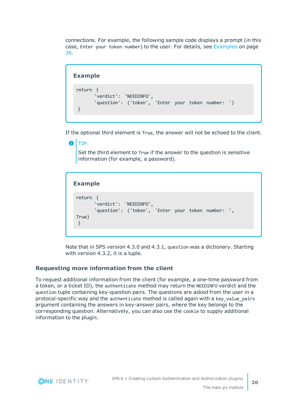connections. For example, the following sample code displays a prompt (in this case, Enter your token number) to the user. For details, see [Examples](#page-25-0) on page [26](#page-25-0).

#### **Example**

```
return {
       'verdict': 'NEEDINFO',
       'question': ('token', 'Enter your token number: ')
}
```
If the optional third element is True, the answer will not be echoed to the client.

```
6
   TIP:
```
Set the third element to True if the answer to the question is sensitive information (for example, a password).

```
Example
 return {
        'verdict': 'NEEDINFO',
       'question': ('token', 'Enter your token number: ',
True)
 }
```
Note that in SPS version 4.3.0 and 4.3.1, question was a dictionary. Starting with version 4.3.2, it is a tuple.

#### **Requesting more information from the client**

To request additional information from the client (for example, a one-time password from a token, or a ticket ID), the authenticate method may return the NEEDINFO verdict and the question tuple containing key-question pairs. The questions are asked from the user in a protocol-specific way and the authenticate method is called again with a key\_value\_pairs argument containing the answers in key-answer pairs, where the key belongs to the corresponding question. Alternatively, you can also use the cookie to supply additional information to the plugin.

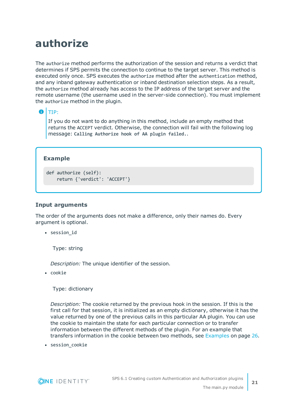### <span id="page-20-0"></span>**authorize**

The authorize method performs the authorization of the session and returns a verdict that determines if SPS permits the connection to continue to the target server. This method is executed only once. SPS executes the authorize method after the authentication method, and any inband gateway authentication or inband destination selection steps. As a result, the authorize method already has access to the IP address of the target server and the remote username (the username used in the server-side connection). You must implement the authorize method in the plugin.

#### 6 TIP:

If you do not want to do anything in this method, include an empty method that returns the ACCEPT verdict. Otherwise, the connection will fail with the following log message: **Calling Authorize hook of AA plugin failed.**.

#### **Example**

```
def authorize (self):
    return {'verdict': 'ACCEPT'}
```
#### **Input arguments**

The order of the arguments does not make a difference, only their names do. Every argument is optional.

• session id

Type: string

*Description:* The unique identifier of the session.

• cookie

Type: dictionary

*Description:* The cookie returned by the previous hook in the session. If this is the first call for that session, it is initialized as an empty dictionary, otherwise it has the value returned by one of the previous calls in this particular AA plugin. You can use the cookie to maintain the state for each particular connection or to transfer information between the different methods of the plugin. For an example that transfers information in the cookie between two methods, see [Examples](#page-25-0) on page 26.

• session\_cookie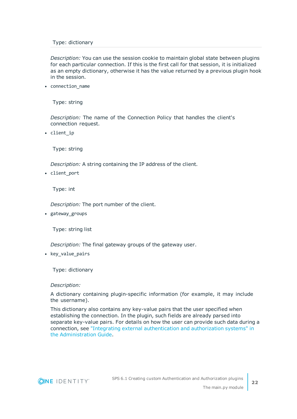#### Type: dictionary

*Description:* You can use the session cookie to maintain global state between plugins for each particular connection. If this is the first call for that session, it is initialized as an empty dictionary, otherwise it has the value returned by a previous plugin hook in the session.

• connection name

Type: string

*Description:* The name of the Connection Policy that handles the client's connection request.

• client ip

Type: string

*Description:* A string containing the IP address of the client.

• client port

Type: int

*Description:* The port number of the client.

• gateway\_groups

Type: string list

*Description:* The final gateway groups of the gateway user.

• key value pairs

Type: dictionary

#### *Description:*

A dictionary containing plugin-specific information (for example, it may include the username).

This dictionary also contains any key-value pairs that the user specified when establishing the connection. In the plugin, such fields are already parsed into separate key-value pairs. For details on how the user can provide such data during a connection, see "Integrating external [authentication](https://support.oneidentity.com/technical-documents/safeguard-for-privileged-sessions/6.1.0/administration-guide/advanced-authentication-and-authorization-techniques/integrating-external-authentication-and-authorization-systems/) and authorization systems" in the [Administration](https://support.oneidentity.com/technical-documents/safeguard-for-privileged-sessions/6.1.0/administration-guide/advanced-authentication-and-authorization-techniques/integrating-external-authentication-and-authorization-systems/) Guide.

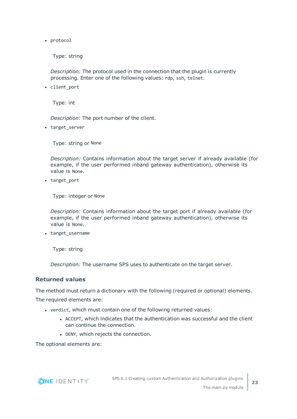• protocol

Type: string

*Description:* The protocol used in the connection that the plugin is currently processing. Enter one of the following values: rdp, ssh, telnet.

• client port

Type: int

*Description:* The port number of the client.

• target\_server

Type: string or None

*Description:* Contains information about the target server if already available (for example, if the user performed inband gateway authentication), otherwise its value is None.

• target port

Type: integer or None

*Description:* Contains information about the target port if already available (for example, if the user performed inband gateway authentication), otherwise its value is None.

• target\_username

Type: string

*Description:* The username SPS uses to authenticate on the target server.

#### **Returned values**

The method must return a dictionary with the following (required or optional) elements. The required elements are:

- verdict, which must contain one of the following returned values:
	- ACCEPT, which indicates that the authentication was successful and the client can continue the connection.
	- DENY, which rejects the connection.

The optional elements are:

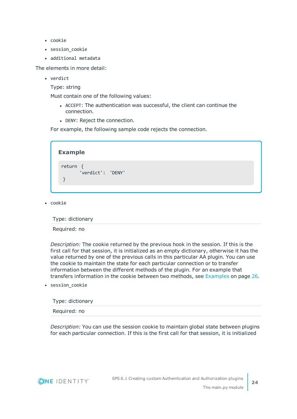- $\bullet$  cookie
- session cookie
- additional metadata

The elements in more detail:

- verdict
	- Type: string

Must contain one of the following values:

- ACCEPT: The authentication was successful, the client can continue the connection.
- DENY: Reject the connection.

For example, the following sample code rejects the connection.

| return {          |  |
|-------------------|--|
| 'verdict': 'DENY' |  |

 $\bullet$  cookie

Type: dictionary

Required: no

*Description:* The cookie returned by the previous hook in the session. If this is the first call for that session, it is initialized as an empty dictionary, otherwise it has the value returned by one of the previous calls in this particular AA plugin. You can use the cookie to maintain the state for each particular connection or to transfer information between the different methods of the plugin. For an example that transfers information in the cookie between two methods, see [Examples](#page-25-0) on page 26.

• session\_cookie

| Type: dictionary |  |  |
|------------------|--|--|
| Required: no     |  |  |

*Description:* You can use the session cookie to maintain global state between plugins for each particular connection. If this is the first call for that session, it is initialized

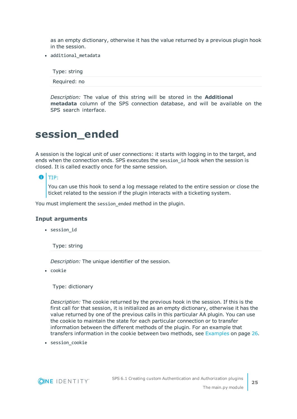as an empty dictionary, otherwise it has the value returned by a previous plugin hook in the session.

• additional metadata

Type: string

Required: no

*Description:* The value of this string will be stored in the **Additional metadata** column of the SPS connection database, and will be available on the SPS search interface.

### <span id="page-24-0"></span>**session\_ended**

A session is the logical unit of user connections: it starts with logging in to the target, and ends when the connection ends. SPS executes the session\_id hook when the session is closed. It is called exactly once for the same session.

#### 6 TIP:

You can use this hook to send a log message related to the entire session or close the ticket related to the session if the plugin interacts with a ticketing system.

You must implement the session\_ended method in the plugin.

#### **Input arguments**

• session\_id

Type: string

*Description:* The unique identifier of the session.

• cookie

Type: dictionary

*Description:* The cookie returned by the previous hook in the session. If this is the first call for that session, it is initialized as an empty dictionary, otherwise it has the value returned by one of the previous calls in this particular AA plugin. You can use the cookie to maintain the state for each particular connection or to transfer information between the different methods of the plugin. For an example that transfers information in the cookie between two methods, see [Examples](#page-25-0) on page 26.

• session\_cookie



**25**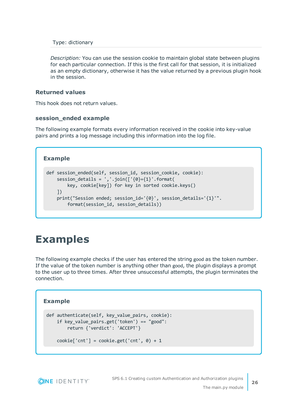Type: dictionary

*Description:* You can use the session cookie to maintain global state between plugins for each particular connection. If this is the first call for that session, it is initialized as an empty dictionary, otherwise it has the value returned by a previous plugin hook in the session.

#### **Returned values**

This hook does not return values.

#### **session\_ended example**

The following example formats every information received in the cookie into key-value pairs and prints a log message including this information into the log file.

#### **Example**

```
def session ended(self, session id, session cookie, cookie):
   session_details = ','.join(['\{0\}=\{1\}'.format(key, cookie[key]) for key in sorted cookie.keys()
   ])
   print("Session ended; session_id='{0}', session_details='{1}'".
        format(session_id, session_details))
```
### <span id="page-25-0"></span>**Examples**

The following example checks if the user has entered the string good as the token number. If the value of the token number is anything other than good, the plugin displays a prompt to the user up to three times. After three unsuccessful attempts, the plugin terminates the connection.

#### **Example**

```
def authenticate(self, key_value_pairs, cookie):
   if key_value_pairs.get('token') == "good":
       return {'verdict': 'ACCEPT'}
```

```
\text{cookie}['cnt'] = \text{cookie.get('cnt', 0)} + 1
```
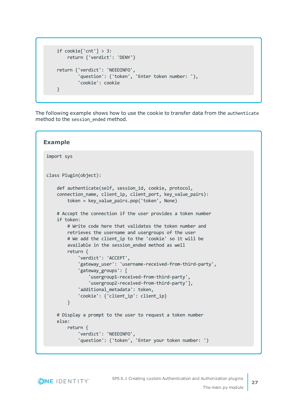```
if cookie['cnt'] > 3:
    return {'verdict': 'DENY'}
return {'verdict': 'NEEDINFO',
        'question': ('token', 'Enter token number: '),
        'cookie': cookie
}
```
The following example shows how to use the cookie to transfer data from the authenticate method to the session ended method.

```
Example
 import sys
 class Plugin(object):
     def authenticate(self, session id, cookie, protocol,
     connection name, client ip, client port, key value pairs):
         token = key_value_pairs.pop('token', None)
     # Accept the connection if the user provides a token number
     if token:
         # Write code here that validates the token number and
         retrieves the username and usergroups of the user
         # We add the client_ip to the 'cookie' so it will be
         available in the session_ended method as well
         return {
             'verdict': 'ACCEPT',
             'gateway_user': 'username-received-from-third-party',
             'gateway_groups': [
                 'usergroup1-received-from-third-party',
                 'usergroup2-received-from-third-party'],
             'additional_metadata': token,
             'cookie': {'client_ip': client_ip}
         }
     # Display a prompt to the user to request a token number
     else:
         return {
             'verdict': 'NEEDINFO',
             'question': ('token', 'Enter your token number: ')
```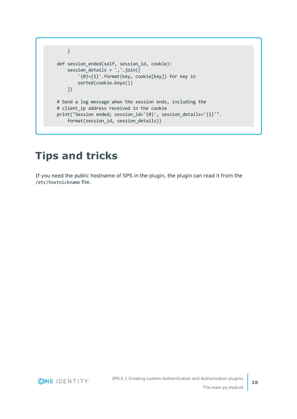```
}
def session ended(self, session id, cookie):
    session_details = ','.join([
        '{0}={1}'.format(key, cookie[key]) for key in
       sorted(cookie.keys())
    ])
# Send a log message when the session ends, including the
# client_ip address received in the cookie
print("Session ended; session_id='{0}', session_details='{1}'".
    format(session_id, session_details))
```
### <span id="page-27-0"></span>**Tips and tricks**

If you need the public hostname of SPS in the plugin, the plugin can read it from the /etc/hostnickname file.

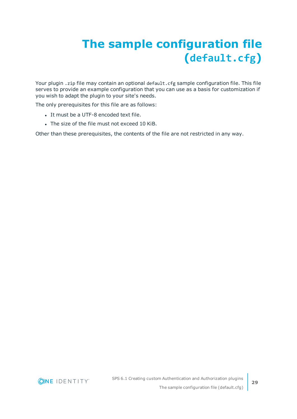# <span id="page-28-0"></span>**The sample configuration file (default.cfg)**

Your plugin .zip file may contain an optional default.cfg sample configuration file. This file serves to provide an example configuration that you can use as a basis for customization if you wish to adapt the plugin to your site's needs.

The only prerequisites for this file are as follows:

- It must be a UTF-8 encoded text file.
- The size of the file must not exceed 10 KiB.

Other than these prerequisites, the contents of the file are not restricted in any way.

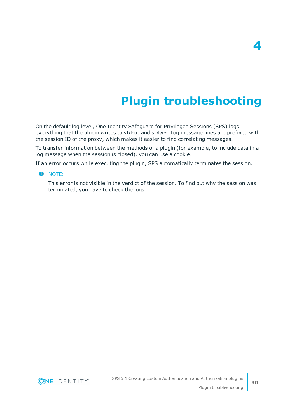# **Plugin troubleshooting**

<span id="page-29-0"></span>On the default log level, One Identity Safeguard for Privileged Sessions (SPS) logs everything that the plugin writes to stdout and stderr. Log message lines are prefixed with the session ID of the proxy, which makes it easier to find correlating messages.

To transfer information between the methods of a plugin (for example, to include data in a log message when the session is closed), you can use a cookie.

If an error occurs while executing the plugin, SPS automatically terminates the session.

#### **O** NOTE:

This error is not visible in the verdict of the session. To find out why the session was terminated, you have to check the logs.

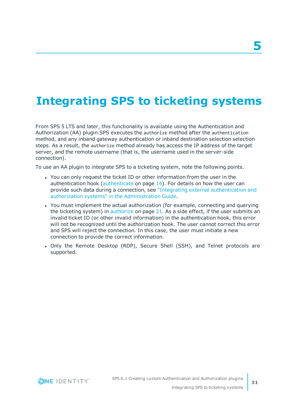# <span id="page-30-0"></span>**Integrating SPS to ticketing systems**

From SPS 5 LTS and later, this functionality is available using the Authentication and Authorization (AA) plugin.SPS executes the authorize method after the authentication method, and any inband gateway authentication or inband destination selection selection steps. As a result, the authorize method already has access the IP address of the target server, and the remote username (that is, the username used in the server-side connection).

To use an AA plugin to integrate SPS to a ticketing system, note the following points.

- You can only request the ticket ID or other information from the user in the authentication hook [\(authenticate](#page-13-0) on page 14). For details on how the user can provide such data during a connection, see "Integrating external [authentication](https://support.oneidentity.com/technical-documents/safeguard-for-privileged-sessions/6.1.0/administration-guide/advanced-authentication-and-authorization-techniques/integrating-external-authentication-and-authorization-systems/) and authorization systems" in the [Administration](https://support.oneidentity.com/technical-documents/safeguard-for-privileged-sessions/6.1.0/administration-guide/advanced-authentication-and-authorization-techniques/integrating-external-authentication-and-authorization-systems/) Guide.
- <sup>l</sup> You must implement the actual authorization (for example, connecting and querying the ticketing system) in [authorize](#page-20-0) on page 21. As a side effect, if the user submits an invalid ticket ID (or other invalid information) in the authentication hook, this error will not be recognized until the authorization hook. The user cannot correct this error and SPS will reject the connection. In this case, the user must initiate a new connection to provide the correct information.
- Only the Remote Desktop (RDP), Secure Shell (SSH), and Telnet protocols are supported.